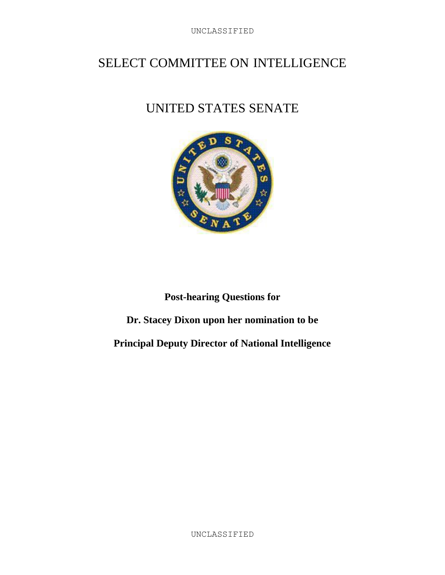## SELECT COMMITTEE ON INTELLIGENCE

# UNITED STATES SENATE



## **Post-hearing Questions for**

## **Dr. Stacey Dixon upon her nomination to be**

#### **Principal Deputy Director of National Intelligence**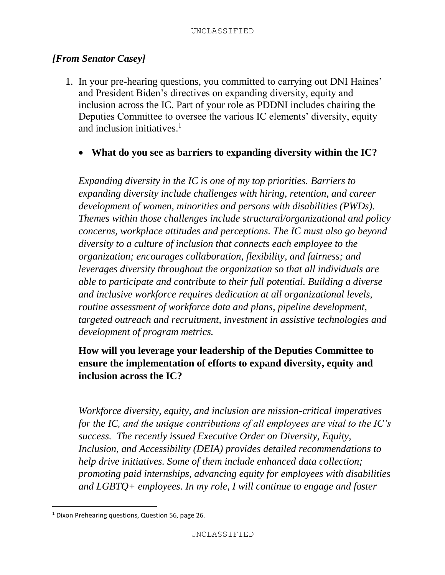#### *[From Senator Casey]*

- 1. In your pre-hearing questions, you committed to carrying out DNI Haines' and President Biden's directives on expanding diversity, equity and inclusion across the IC. Part of your role as PDDNI includes chairing the Deputies Committee to oversee the various IC elements' diversity, equity and inclusion initiatives. $<sup>1</sup>$ </sup>
	- **What do you see as barriers to expanding diversity within the IC?**

*Expanding diversity in the IC is one of my top priorities. Barriers to expanding diversity include challenges with hiring, retention, and career development of women, minorities and persons with disabilities (PWDs). Themes within those challenges include structural/organizational and policy concerns, workplace attitudes and perceptions. The IC must also go beyond diversity to a culture of inclusion that connects each employee to the organization; encourages collaboration, flexibility, and fairness; and leverages diversity throughout the organization so that all individuals are able to participate and contribute to their full potential. Building a diverse and inclusive workforce requires dedication at all organizational levels, routine assessment of workforce data and plans, pipeline development, targeted outreach and recruitment, investment in assistive technologies and development of program metrics.*

### **How will you leverage your leadership of the Deputies Committee to ensure the implementation of efforts to expand diversity, equity and inclusion across the IC?**

*Workforce diversity, equity, and inclusion are mission-critical imperatives for the IC, and the unique contributions of all employees are vital to the IC's success. The recently issued Executive Order on Diversity, Equity, Inclusion, and Accessibility (DEIA) provides detailed recommendations to help drive initiatives. Some of them include enhanced data collection; promoting paid internships, advancing equity for employees with disabilities and LGBTQ+ employees. In my role, I will continue to engage and foster* 

 $\overline{\phantom{a}}$ 

<sup>&</sup>lt;sup>1</sup> Dixon Prehearing questions, Question 56, page 26.